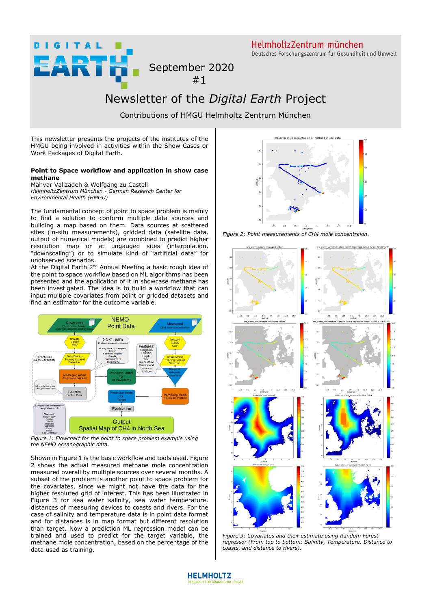**DIGITAL** RTH HelmholtzZentrum münchen Deutsches Forschungszentrum für Gesundheit und Umwelt

September 2020 #1

## Newsletter of the *Digital Earth* Project

Contributions of HMGU Helmholtz Zentrum München

This newsletter presents the projects of the institutes of the HMGU being involved in activities within the Show Cases or Work Packages of Digital Earth.

## **Point to Space workflow and application in show case methane**

Mahyar Valizadeh & Wolfgang zu Castell *HelmholtzZentrum München - German Research Center for Environmental Health (HMGU)* 

The fundamental concept of point to space problem is mainly to find a solution to conform multiple data sources and building a map based on them. Data sources at scattered sites (in-situ measurements), gridded data (satellite data, output of numerical models) are combined to predict higher resolution map or at ungauged sites (interpolation, "downscaling") or to simulate kind of "artificial data" for unobserved scenarios.

At the Digital Earth 2<sup>nd</sup> Annual Meeting a basic rough idea of the point to space workflow based on ML algorithms has been presented and the application of it in showcase methane has been investigated. The idea is to build a workflow that can input multiple covariates from point or gridded datasets and find an estimator for the outcome variable.



*Figure 1: Flowchart for the point to space problem example using the NEMO oceanographic data.* 

Shown in Figure 1 is the basic workflow and tools used. Figure 2 shows the actual measured methane mole concentration measured overall by multiple sources over several months. A subset of the problem is another point to space problem for the covariates, since we might not have the data for the higher resoluted grid of interest. This has been illustrated in Figure 3 for sea water salinity, sea water temperature, distances of measuring devices to coasts and rivers. For the case of salinity and temperature data is in point data format and for distances is in map format but different resolution than target. Now a prediction ML regression model can be trained and used to predict for the target variable, the methane mole concentration, based on the percentage of the data used as training.



*Figure 2: Point measurements of CH4 mole concentraion.* 



*Figure 3: Covariates and their estimate using Random Forest regressor (From top to bottom: Salinity, Temperature, Distance to coasts, and distance to rivers).* 

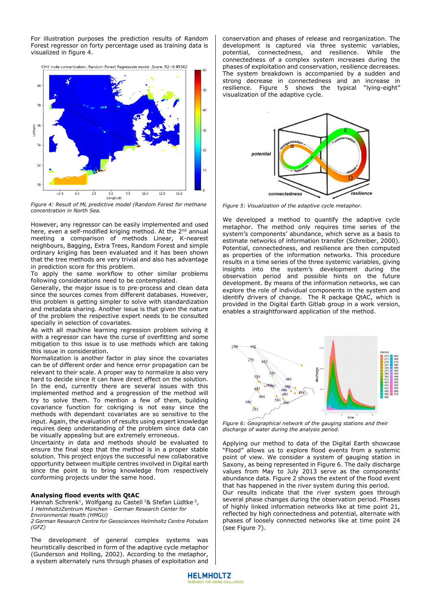For illustration purposes the prediction results of Random Forest regressor on forty percentage used as training data is visualized in figure 4.



*Figure 4: Result of ML predictive model (Random Forest for methane concentration in North Sea.*

However, any regressor can be easily implemented and used here, even a self-modified kriging method. At the 2<sup>nd</sup> annual meeting a comparison of methods Linear, K-nearest neighbours, Bagging, Extra Trees, Random Forest and simple ordinary kriging has been evaluated and it has been shown that the tree methods are very trivial and also has advantage in prediction score for this problem.

To apply the same workflow to other similar problems following considerations need to be contemplated.

Generally, the major issue is to pre-process and clean data since the sources comes from different databases. However, this problem is getting simpler to solve with standardization and metadata sharing. Another issue is that given the nature of the problem the respective expert needs to be consulted specially in selection of covariates.

As with all machine learning regression problem solving it with a regressor can have the curse of overfitting and some mitigation to this issue is to use methods which are taking this issue in consideration.

Normalization is another factor in play since the covariates can be of different order and hence error propagation can be relevant to their scale. A proper way to normalize is also very hard to decide since it can have direct effect on the solution. In the end, currently there are several issues with this implemented method and a progression of the method will try to solve them. To mention a few of them, building covariance function for cokriging is not easy since the methods with dependant covariates are so sensitive to the input. Again, the evaluation of results using expert knowledge requires deep understanding of the problem since data can be visually appealing but are extremely erroneous.

Uncertainty in data and methods should be evaluated to ensure the final step that the method is in a proper stable solution. This project enjoys the successful new collaborative opportunity between multiple centres involved in Digital earth since the point is to bring knowledge from respectively conforming projects under the same hood.

## **Analysing flood events with QtAC**

Hannah Schrenk<sup>1</sup>, Wolfgang zu Castell<sup>1</sup>& Stefan Lüdtke<sup>2</sup>, *1 HelmholtzZentrum München - German Research Center for* 

*Environmental Health (HMGU)* 

*2 German Research Centre for Geosciences Helmholtz Centre Potsdam (GFZ)* 

The development of general complex systems was heuristically described in form of the adaptive cycle metaphor (Gunderson and Holling, 2002). According to the metaphor, a system alternately runs through phases of exploitation and

conservation and phases of release and reorganization. The development is captured via three systemic variables, potential, connectedness, and resilience. While the connectedness of a complex system increases during the phases of exploitation and conservation, resilience decreases. The system breakdown is accompanied by a sudden and strong decrease in connectedness and an increase in resilience. Figure 5 shows the typical "lying-eight" visualization of the adaptive cycle.



*Figure 5: Visualization of the adaptive cycle metaphor.* 

We developed a method to quantify the adaptive cycle metaphor. The method only requires time series of the system's components' abundance, which serve as a basis to estimate networks of information transfer (Schreiber, 2000). Potential, connectedness, and resilience are then computed as properties of the information networks. This procedure results in a time series of the three systemic variables, giving insights into the system's development during the observation period and possible hints on the future development. By means of the information networks, we can explore the role of individual components in the system and identify drivers of change. The R package QtAC, which is provided in the Digital Earth Gitlab group in a work version, enables a straightforward application of the method.



*Figure 6: Geographical network of the gauging stations and their discharge of water during the analysis period.* 

Applying our method to data of the Digital Earth showcase "Flood" allows us to explore flood events from a systemic point of view. We consider a system of gauging station in Saxony, as being represented in Figure 6. The daily discharge values from May to July 2013 serve as the components' abundance data. Figure 2 shows the extent of the flood event that has happened in the river system during this period.

Our results indicate that the river system goes through several phase changes during the observation period. Phases of highly linked information networks like at time point 21, reflected by high connectedness and potential, alternate with phases of loosely connected networks like at time point 24 (see Figure 7).